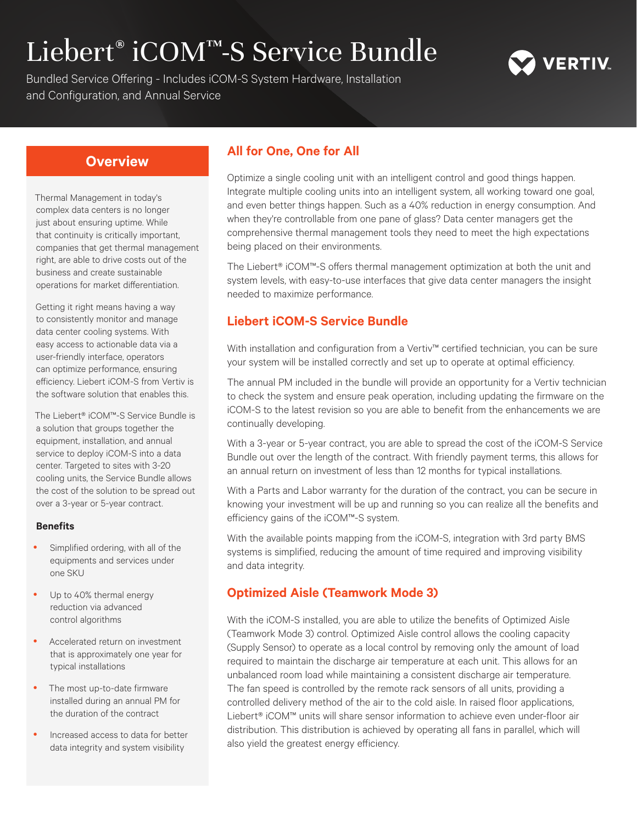# Liebert® iCOM™-S Service Bundle



Bundled Service Offering - Includes iCOM-S System Hardware, Installation and Configuration, and Annual Service

Thermal Management in today's complex data centers is no longer just about ensuring uptime. While that continuity is critically important, companies that get thermal management right, are able to drive costs out of the business and create sustainable operations for market differentiation.

Getting it right means having a way to consistently monitor and manage data center cooling systems. With easy access to actionable data via a user-friendly interface, operators can optimize performance, ensuring efficiency. Liebert iCOM-S from Vertiv is the software solution that enables this.

The Liebert® iCOM™-S Service Bundle is a solution that groups together the equipment, installation, and annual service to deploy iCOM-S into a data center. Targeted to sites with 3-20 cooling units, the Service Bundle allows the cost of the solution to be spread out over a 3-year or 5-year contract.

#### **Benefits**

- Simplified ordering, with all of the equipments and services under one SKU
- Up to 40% thermal energy reduction via advanced control algorithms
- Accelerated return on investment that is approximately one year for typical installations
- The most up-to-date firmware installed during an annual PM for the duration of the contract
- Increased access to data for better data integrity and system visibility

## **Overview All for One, One for All**

Optimize a single cooling unit with an intelligent control and good things happen. Integrate multiple cooling units into an intelligent system, all working toward one goal, and even better things happen. Such as a 40% reduction in energy consumption. And when they're controllable from one pane of glass? Data center managers get the comprehensive thermal management tools they need to meet the high expectations being placed on their environments.

The Liebert® iCOM™-S offers thermal management optimization at both the unit and system levels, with easy-to-use interfaces that give data center managers the insight needed to maximize performance.

### **Liebert iCOM-S Service Bundle**

With installation and configuration from a Vertiv™ certified technician, you can be sure your system will be installed correctly and set up to operate at optimal efficiency.

The annual PM included in the bundle will provide an opportunity for a Vertiv technician to check the system and ensure peak operation, including updating the firmware on the iCOM-S to the latest revision so you are able to benefit from the enhancements we are continually developing.

With a 3-year or 5-year contract, you are able to spread the cost of the iCOM-S Service Bundle out over the length of the contract. With friendly payment terms, this allows for an annual return on investment of less than 12 months for typical installations.

With a Parts and Labor warranty for the duration of the contract, you can be secure in knowing your investment will be up and running so you can realize all the benefits and efficiency gains of the iCOM™-S system.

With the available points mapping from the iCOM-S, integration with 3rd party BMS systems is simplified, reducing the amount of time required and improving visibility and data integrity.

### **Optimized Aisle (Teamwork Mode 3)**

With the iCOM-S installed, you are able to utilize the benefits of Optimized Aisle (Teamwork Mode 3) control. Optimized Aisle control allows the cooling capacity (Supply Sensor) to operate as a local control by removing only the amount of load required to maintain the discharge air temperature at each unit. This allows for an unbalanced room load while maintaining a consistent discharge air temperature. The fan speed is controlled by the remote rack sensors of all units, providing a controlled delivery method of the air to the cold aisle. In raised floor applications, Liebert® iCOM™ units will share sensor information to achieve even under-floor air distribution. This distribution is achieved by operating all fans in parallel, which will also yield the greatest energy efficiency.